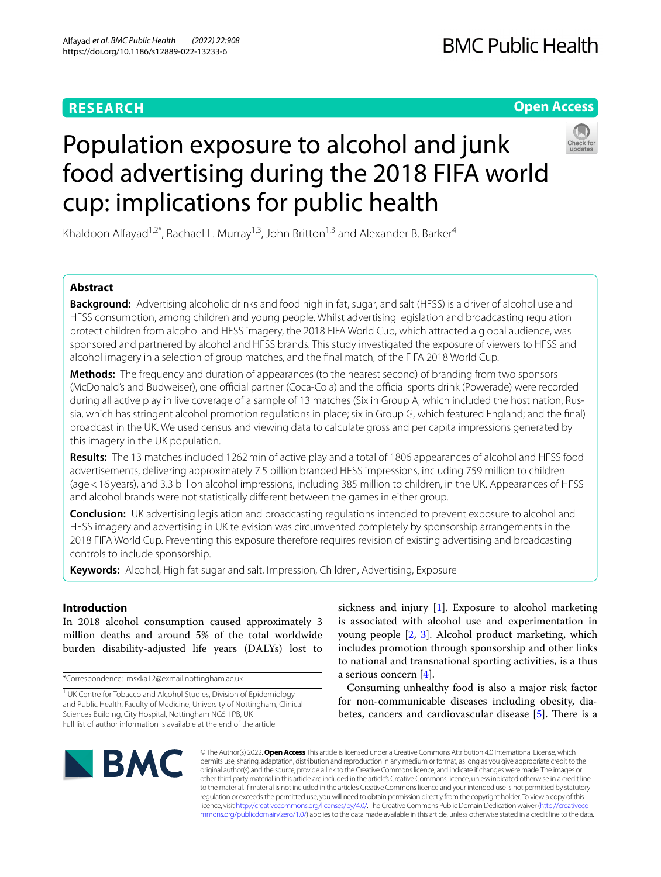# **RESEARCH**

# **Open Access**

# Population exposure to alcohol and junk food advertising during the 2018 FIFA world cup: implications for public health

Khaldoon Alfayad<sup>1,2\*</sup>, Rachael L. Murray<sup>1,3</sup>, John Britton<sup>1,3</sup> and Alexander B. Barker<sup>4</sup>

# **Abstract**

**Background:** Advertising alcoholic drinks and food high in fat, sugar, and salt (HFSS) is a driver of alcohol use and HFSS consumption, among children and young people. Whilst advertising legislation and broadcasting regulation protect children from alcohol and HFSS imagery, the 2018 FIFA World Cup, which attracted a global audience, was sponsored and partnered by alcohol and HFSS brands. This study investigated the exposure of viewers to HFSS and alcohol imagery in a selection of group matches, and the fnal match, of the FIFA 2018 World Cup.

**Methods:** The frequency and duration of appearances (to the nearest second) of branding from two sponsors (McDonald's and Budweiser), one official partner (Coca-Cola) and the official sports drink (Powerade) were recorded during all active play in live coverage of a sample of 13 matches (Six in Group A, which included the host nation, Russia, which has stringent alcohol promotion regulations in place; six in Group G, which featured England; and the fnal) broadcast in the UK. We used census and viewing data to calculate gross and per capita impressions generated by this imagery in the UK population.

**Results:** The 13 matches included 1262min of active play and a total of 1806 appearances of alcohol and HFSS food advertisements, delivering approximately 7.5 billion branded HFSS impressions, including 759 million to children (age<16 years), and 3.3 billion alcohol impressions, including 385 million to children, in the UK. Appearances of HFSS and alcohol brands were not statistically diferent between the games in either group.

**Conclusion:** UK advertising legislation and broadcasting regulations intended to prevent exposure to alcohol and HFSS imagery and advertising in UK television was circumvented completely by sponsorship arrangements in the 2018 FIFA World Cup. Preventing this exposure therefore requires revision of existing advertising and broadcasting controls to include sponsorship.

**Keywords:** Alcohol, High fat sugar and salt, Impression, Children, Advertising, Exposure

# **Introduction**

In 2018 alcohol consumption caused approximately 3 million deaths and around 5% of the total worldwide burden disability-adjusted life years (DALYs) lost to

\*Correspondence: msxka12@exmail.nottingham.ac.uk

sickness and injury [\[1](#page-9-0)]. Exposure to alcohol marketing is associated with alcohol use and experimentation in young people [\[2](#page-9-1), [3](#page-9-2)]. Alcohol product marketing, which includes promotion through sponsorship and other links to national and transnational sporting activities, is a thus a serious concern [\[4](#page-9-3)].

Consuming unhealthy food is also a major risk factor for non-communicable diseases including obesity, diabetes, cancers and cardiovascular disease  $[5]$  $[5]$ . There is a



© The Author(s) 2022. **Open Access** This article is licensed under a Creative Commons Attribution 4.0 International License, which permits use, sharing, adaptation, distribution and reproduction in any medium or format, as long as you give appropriate credit to the original author(s) and the source, provide a link to the Creative Commons licence, and indicate if changes were made. The images or other third party material in this article are included in the article's Creative Commons licence, unless indicated otherwise in a credit line to the material. If material is not included in the article's Creative Commons licence and your intended use is not permitted by statutory regulation or exceeds the permitted use, you will need to obtain permission directly from the copyright holder. To view a copy of this licence, visit [http://creativecommons.org/licenses/by/4.0/.](http://creativecommons.org/licenses/by/4.0/) The Creative Commons Public Domain Dedication waiver ([http://creativeco](http://creativecommons.org/publicdomain/zero/1.0/) [mmons.org/publicdomain/zero/1.0/](http://creativecommons.org/publicdomain/zero/1.0/)) applies to the data made available in this article, unless otherwise stated in a credit line to the data.

<sup>&</sup>lt;sup>1</sup> UK Centre for Tobacco and Alcohol Studies, Division of Epidemiology and Public Health, Faculty of Medicine, University of Nottingham, Clinical Sciences Building, City Hospital, Nottingham NG5 1PB, UK Full list of author information is available at the end of the article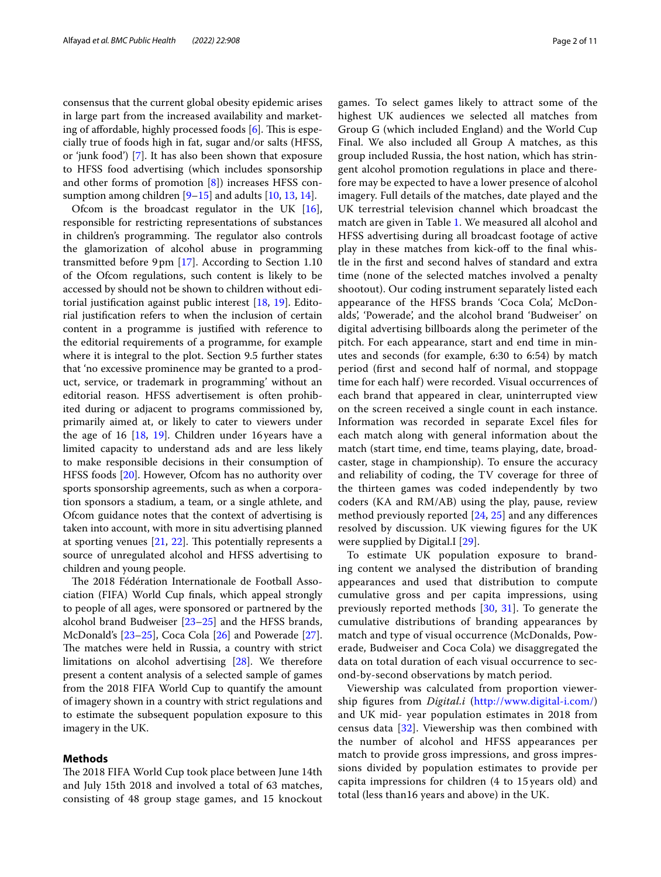consensus that the current global obesity epidemic arises in large part from the increased availability and marketing of affordable, highly processed foods  $[6]$  $[6]$ . This is especially true of foods high in fat, sugar and/or salts (HFSS, or 'junk food') [\[7](#page-9-6)]. It has also been shown that exposure to HFSS food advertising (which includes sponsorship and other forms of promotion [\[8\]](#page-9-7)) increases HFSS consumption among children  $[9-15]$  $[9-15]$  $[9-15]$  and adults  $[10, 13, 14]$  $[10, 13, 14]$  $[10, 13, 14]$  $[10, 13, 14]$  $[10, 13, 14]$  $[10, 13, 14]$ .

Ofcom is the broadcast regulator in the UK [\[16](#page-9-13)], responsible for restricting representations of substances in children's programming. The regulator also controls the glamorization of alcohol abuse in programming transmitted before 9pm [\[17](#page-9-14)]. According to Section 1.10 of the Ofcom regulations, such content is likely to be accessed by should not be shown to children without editorial justifcation against public interest [\[18](#page-9-15), [19\]](#page-9-16). Editorial justifcation refers to when the inclusion of certain content in a programme is justifed with reference to the editorial requirements of a programme, for example where it is integral to the plot. Section 9.5 further states that 'no excessive prominence may be granted to a product, service, or trademark in programming' without an editorial reason. HFSS advertisement is often prohibited during or adjacent to programs commissioned by, primarily aimed at, or likely to cater to viewers under the age of 16 [[18](#page-9-15), [19\]](#page-9-16). Children under 16years have a limited capacity to understand ads and are less likely to make responsible decisions in their consumption of HFSS foods [\[20\]](#page-9-17). However, Ofcom has no authority over sports sponsorship agreements, such as when a corporation sponsors a stadium, a team, or a single athlete, and Ofcom guidance notes that the context of advertising is taken into account, with more in situ advertising planned at sporting venues  $[21, 22]$  $[21, 22]$  $[21, 22]$  $[21, 22]$ . This potentially represents a source of unregulated alcohol and HFSS advertising to children and young people.

The 2018 Fédération Internationale de Football Association (FIFA) World Cup fnals, which appeal strongly to people of all ages, were sponsored or partnered by the alcohol brand Budweiser [[23](#page-10-1)[–25](#page-10-2)] and the HFSS brands, McDonald's [[23–](#page-10-1)[25](#page-10-2)], Coca Cola [[26\]](#page-10-3) and Powerade [\[27](#page-10-4)]. The matches were held in Russia, a country with strict limitations on alcohol advertising [[28](#page-10-5)]. We therefore present a content analysis of a selected sample of games from the 2018 FIFA World Cup to quantify the amount of imagery shown in a country with strict regulations and to estimate the subsequent population exposure to this imagery in the UK.

# **Methods**

The 2018 FIFA World Cup took place between June 14th and July 15th 2018 and involved a total of 63 matches, consisting of 48 group stage games, and 15 knockout

games. To select games likely to attract some of the highest UK audiences we selected all matches from Group G (which included England) and the World Cup Final. We also included all Group A matches, as this group included Russia, the host nation, which has stringent alcohol promotion regulations in place and therefore may be expected to have a lower presence of alcohol imagery. Full details of the matches, date played and the UK terrestrial television channel which broadcast the match are given in Table [1](#page-2-0). We measured all alcohol and HFSS advertising during all broadcast footage of active play in these matches from kick-off to the final whistle in the frst and second halves of standard and extra time (none of the selected matches involved a penalty shootout). Our coding instrument separately listed each appearance of the HFSS brands 'Coca Cola', McDonalds', 'Powerade', and the alcohol brand 'Budweiser' on digital advertising billboards along the perimeter of the pitch. For each appearance, start and end time in minutes and seconds (for example, 6:30 to 6:54) by match period (frst and second half of normal, and stoppage time for each half) were recorded. Visual occurrences of each brand that appeared in clear, uninterrupted view on the screen received a single count in each instance. Information was recorded in separate Excel fles for each match along with general information about the match (start time, end time, teams playing, date, broadcaster, stage in championship). To ensure the accuracy and reliability of coding, the TV coverage for three of the thirteen games was coded independently by two coders (KA and RM/AB) using the play, pause, review method previously reported [[24,](#page-10-6) [25\]](#page-10-2) and any diferences resolved by discussion. UK viewing fgures for the UK were supplied by Digital.I [[29\]](#page-10-7).

To estimate UK population exposure to branding content we analysed the distribution of branding appearances and used that distribution to compute cumulative gross and per capita impressions, using previously reported methods [[30,](#page-10-8) [31\]](#page-10-9). To generate the cumulative distributions of branding appearances by match and type of visual occurrence (McDonalds, Powerade, Budweiser and Coca Cola) we disaggregated the data on total duration of each visual occurrence to second-by-second observations by match period.

Viewership was calculated from proportion viewership fgures from *Digital.i* [\(http://www.digital-i.com/](http://www.digital-i.com/)) and UK mid- year population estimates in 2018 from census data [[32\]](#page-10-10). Viewership was then combined with the number of alcohol and HFSS appearances per match to provide gross impressions, and gross impressions divided by population estimates to provide per capita impressions for children (4 to 15 years old) and total (less than16 years and above) in the UK.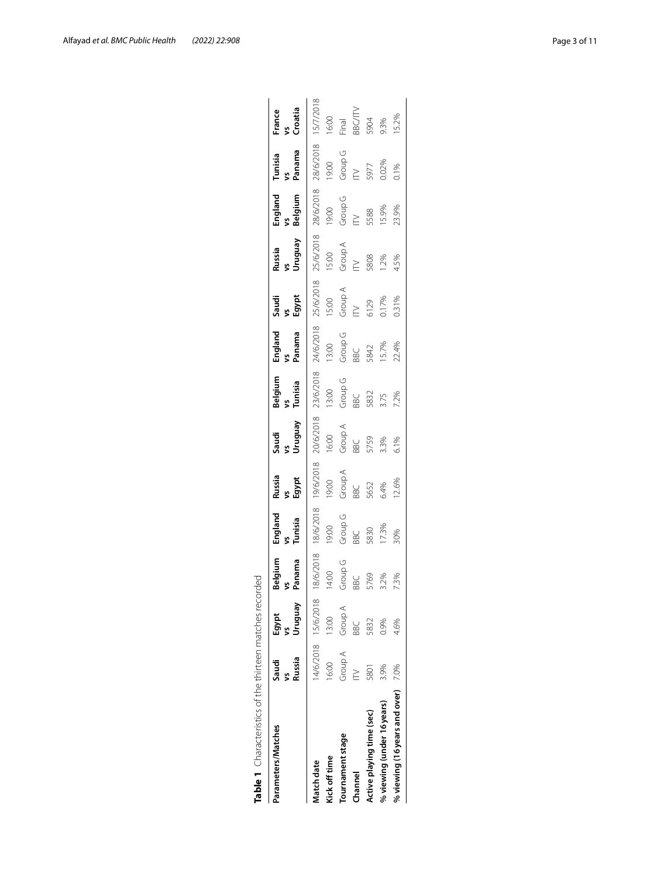| Table 1 Characteristics of the thirteen matches reco |                 |                     | papi              |                          |                             |                        |                          |                         |                         |                         |                          |                         |                                  |
|------------------------------------------------------|-----------------|---------------------|-------------------|--------------------------|-----------------------------|------------------------|--------------------------|-------------------------|-------------------------|-------------------------|--------------------------|-------------------------|----------------------------------|
| Parameters/Matches                                   | Russia<br>Saudi | Venbnun<br>Egypt    | Belgium<br>Panama | England<br>vs<br>Tunisia | Russia<br>Sgypt<br>Egypt    | Vruguav<br>Saudi<br>vs | Belgium<br>vs<br>Tunisia | England<br>vs<br>Panama | Saudi<br>Egypt<br>Egypt | Russia<br>vs<br>Uruguay | England<br>vs<br>Belgium | Panama<br>Tunisia<br>vs | France<br>vs<br>Croatia          |
| Vlatch date                                          |                 | 14/6/2018 15/6/2018 | 8/6/2018          | 18/6/2018                | 19/6/2018                   |                        | $-23/6/2018$             |                         |                         |                         |                          | 28/6/2018               | 15/7/2018                        |
| Kick off time                                        | 16:00           | 13:00               | 14.00             | 19:00                    | 19:00                       | 20/6/2018<br>16:00     | 13:00                    | $24/6/2018$ -<br>13:00  | $35/6/2018$ $-15.00$    | 25/6/2018<br>15:00      | 28/6/2018<br>19:00       | 9:00                    |                                  |
| Tournament stage                                     | Group A         | Group A             | Group G           | Group G                  | Group A                     | Group A                | Group G                  | Group G                 | Group A                 | Group A                 | Group G                  | Group G                 | 16:00<br>Final                   |
| Channel                                              |                 | BBC                 | <b>BBC</b>        |                          |                             |                        | BBC                      | BBC                     | $\geq$                  | $\geq$                  | $\geq$                   | $\geq$                  |                                  |
| Active playing time (sec)                            | 5801            | 5832                | 5769              | BBC<br>5830<br>17.3%     | BBC<br>5652<br>54%<br>12.6% | BBC<br>5759<br>5.1%    | 5832                     | 5842<br>15.7%<br>22.4%  | 6129<br>0.17%<br>0.31%  |                         |                          |                         | BBC/ITV<br>5904<br>9.3%<br>15.2% |
| % viewing (under 16 years)                           | 3.9%            | 0.9%                | 3.2%              |                          |                             |                        |                          |                         |                         | 5808<br>1.2%<br>4.5%    | 5588<br>15.9%<br>23.9%   | 5977<br>0.02%<br>0.1%   |                                  |
| % viewing (16 years and over)                        | 7.0%            | 4.6%                | 73%               | 30%                      |                             |                        | 3.75<br>7.2%             |                         |                         |                         |                          |                         |                                  |
|                                                      |                 |                     |                   |                          |                             |                        |                          |                         |                         |                         |                          |                         |                                  |

<span id="page-2-0"></span>

| こくへいい                                                         |
|---------------------------------------------------------------|
| J<br>l                                                        |
| j<br>$\frac{1}{2}$                                            |
|                                                               |
| $+0.00$ and $-1$                                              |
|                                                               |
| J                                                             |
|                                                               |
| ļ                                                             |
|                                                               |
| Ï                                                             |
| I                                                             |
| t<br>١<br>֧֢ׅ֧ׅ֧ׅ֧ׅ֚֚֚֚֚֚֚֚֚֚֚֚֚֚֚֚֚֚֚֚֚֚֚֡֜֝֡֜֓֡֓֡֞֡֡֡֬<br>J |
| J<br>Í<br>١                                                   |
|                                                               |
| י<br>ו<br>J                                                   |
| ا<br>ا                                                        |
| I<br>Ï                                                        |
| Ï<br>j                                                        |
| l                                                             |
|                                                               |
|                                                               |
|                                                               |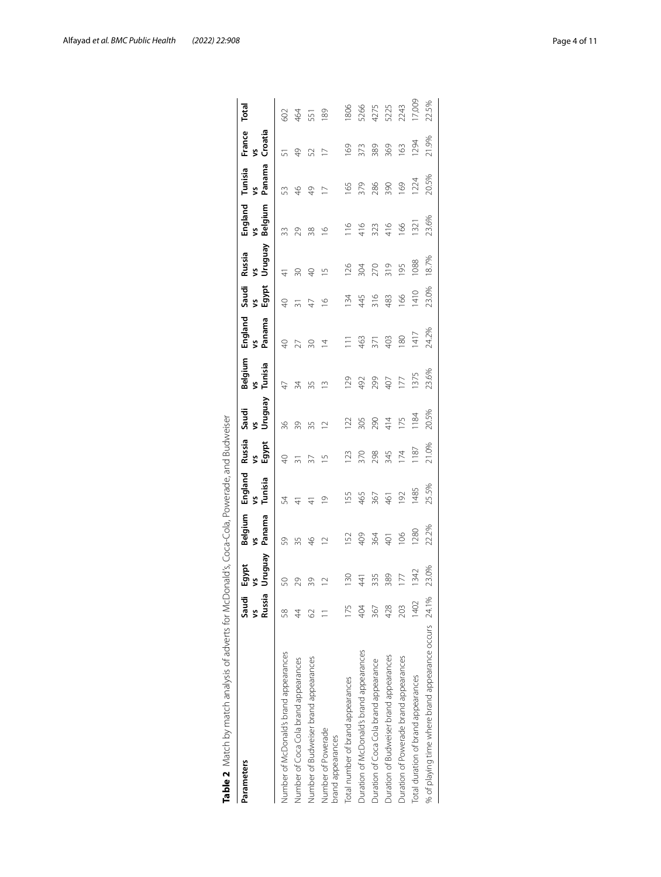| Parameters                                            | Saudi         | Egypt         | Belgium        | England       | Russia      | Saudi           | Belgium        | England     | Saudi                 | Russia                   | England        | Tunisia       | France        | Total  |
|-------------------------------------------------------|---------------|---------------|----------------|---------------|-------------|-----------------|----------------|-------------|-----------------------|--------------------------|----------------|---------------|---------------|--------|
|                                                       | Russia        | Venbnun<br>\$ | Panama<br>š    | vs<br>Tunisia | vs<br>Egypt | Vruguay<br>Š    | Tunisia<br>Š   | Panama<br>Š | Egypt<br>$\mathbf{S}$ | VengunU<br>Š             | Belgium<br>Š   | Panama<br>š   | vs<br>Croatia |        |
| Number of McDonald's brand appearances                | $\frac{8}{5}$ | S             | 59             | 54            | $\Theta$    | 36              | $\overline{4}$ | ¥           |                       |                          | 33             | 53            | 5             | 602    |
| Number of Coca Cola brand appearances                 | 4             | 29            | 35             | $\frac{4}{3}$ |             | 39              | 34             | 27          |                       | $\overline{50}$          | 29             | $\frac{6}{5}$ | $\frac{9}{4}$ | 464    |
| Number of Budweiser brand appearances                 | 2             | 39            | $\frac{6}{4}$  |               | 52          | 35              | 35             | ଛ           |                       | $\overline{Q}$           | 38             | $\frac{1}{2}$ | 52            | 551    |
| Number of Powerade<br>prand appearances               |               | $\approx$     | $\supseteq$    | $\supseteq$   | 으           | $\supseteq$     | $\tilde{=}$    | 호           | $\overline{2}$        | $\overline{\phantom{0}}$ | $\overline{2}$ |               |               | 89     |
| Total number of brand appearances                     | 75            | 130           | 52             | 155           | 123         | 122             | 129            | Ξ           | 134                   | 126                      | 116            | 165           | 169           | 1806   |
| Duration of McDonald's brand appearances              | 404           | 41            | 409            | 465           | 370         | 305             | 492            | 463         | 445                   | 304                      | 416            | 379           | 373           | 5266   |
| Duration of Coca Cola brand appearance                | 367           | 335           | 364            | 367           | 298         | 290             | 299            | 371         | 316                   | 270                      | 323            | 286           | 389           | 4275   |
| Duration of Budweiser brand appearances               | 428           | 389           | $\overline{5}$ | 461           | 345         | 414             | 407            | 403         | 483                   | 319                      | 416            | 390           | 369           | 5225   |
| Duration of Powerade brand appearances                | 203           | 177           | 106            | 192           | 174         | 175             | 177            | 180         | 166                   | 195                      | 166            | 169           | 163           | 2243   |
| Total duration of brand appearances                   | 402           | 1342          | <b>280</b>     | 1485          | 1187        | $\frac{184}{ }$ | 1375           | 1417        | 1410                  | 1088                     | 1321           | 1224          | 1294          | 17,009 |
| % of playing time where brand appearance occurs 24.1% |               | 23.0%         | 22.2%          | 25.5%         | 21.0%       | 20.5%           | 23.6%          | 24.2%       | 23.0%                 | 18.7%                    | 23.6%          | 20.5%         | 21.9%         | 22.5%  |
|                                                       |               |               |                |               |             |                 |                |             |                       |                          |                |               |               |        |

<span id="page-3-0"></span>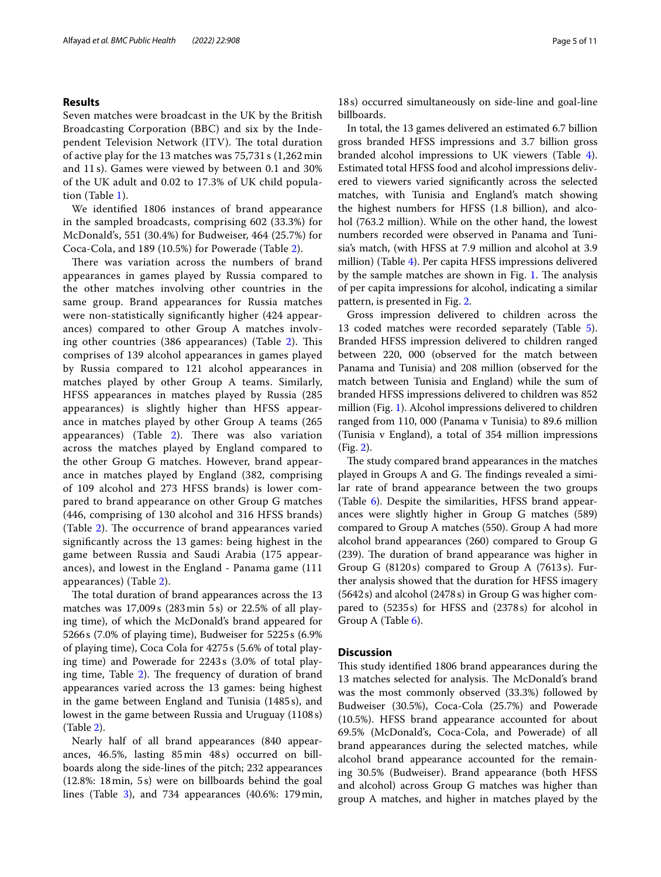## **Results**

Seven matches were broadcast in the UK by the British Broadcasting Corporation (BBC) and six by the Independent Television Network (ITV). The total duration of active play for the 13 matches was 75,731 s (1,262 min and 11 s). Games were viewed by between 0.1 and 30% of the UK adult and 0.02 to 17.3% of UK child population (Table [1](#page-2-0)).

We identifed 1806 instances of brand appearance in the sampled broadcasts, comprising 602 (33.3%) for McDonald's, 551 (30.4%) for Budweiser, 464 (25.7%) for Coca-Cola, and 189 (10.5%) for Powerade (Table [2\)](#page-3-0).

There was variation across the numbers of brand appearances in games played by Russia compared to the other matches involving other countries in the same group. Brand appearances for Russia matches were non-statistically signifcantly higher (424 appearances) compared to other Group A matches involv-ing other countries (386 appearances) (Table [2\)](#page-3-0). This comprises of 139 alcohol appearances in games played by Russia compared to 121 alcohol appearances in matches played by other Group A teams. Similarly, HFSS appearances in matches played by Russia (285 appearances) is slightly higher than HFSS appearance in matches played by other Group A teams (265 appearances) (Table  $2$ ). There was also variation across the matches played by England compared to the other Group G matches. However, brand appearance in matches played by England (382, comprising of 109 alcohol and 273 HFSS brands) is lower compared to brand appearance on other Group G matches (446, comprising of 130 alcohol and 316 HFSS brands) (Table [2](#page-3-0)). The occurrence of brand appearances varied signifcantly across the 13 games: being highest in the game between Russia and Saudi Arabia (175 appearances), and lowest in the England - Panama game (111 appearances) (Table [2](#page-3-0)).

The total duration of brand appearances across the 13 matches was 17,009s (283min 5s) or 22.5% of all playing time), of which the McDonald's brand appeared for 5266s (7.0% of playing time), Budweiser for 5225s (6.9% of playing time), Coca Cola for 4275s (5.6% of total playing time) and Powerade for 2243s (3.0% of total playing time, Table  $2$ ). The frequency of duration of brand appearances varied across the 13 games: being highest in the game between England and Tunisia (1485s), and lowest in the game between Russia and Uruguay (1108 s) (Table [2](#page-3-0)).

Nearly half of all brand appearances (840 appearances, 46.5%, lasting 85min 48s) occurred on billboards along the side-lines of the pitch; 232 appearances (12.8%: 18min, 5s) were on billboards behind the goal lines (Table [3](#page-5-0)), and 734 appearances (40.6%: 179min,

18s) occurred simultaneously on side-line and goal-line billboards.

In total, the 13 games delivered an estimated 6.7 billion gross branded HFSS impressions and 3.7 billion gross branded alcohol impressions to UK viewers (Table [4](#page-5-1)). Estimated total HFSS food and alcohol impressions delivered to viewers varied signifcantly across the selected matches, with Tunisia and England's match showing the highest numbers for HFSS (1.8 billion), and alcohol (763.2 million). While on the other hand, the lowest numbers recorded were observed in Panama and Tunisia's match, (with HFSS at 7.9 million and alcohol at 3.9 million) (Table [4\)](#page-5-1). Per capita HFSS impressions delivered by the sample matches are shown in Fig.  $1$ . The analysis of per capita impressions for alcohol, indicating a similar pattern, is presented in Fig. [2.](#page-7-0)

Gross impression delivered to children across the 13 coded matches were recorded separately (Table [5](#page-7-1)). Branded HFSS impression delivered to children ranged between 220, 000 (observed for the match between Panama and Tunisia) and 208 million (observed for the match between Tunisia and England) while the sum of branded HFSS impressions delivered to children was 852 million (Fig. [1](#page-6-0)). Alcohol impressions delivered to children ranged from 110, 000 (Panama v Tunisia) to 89.6 million (Tunisia v England), a total of 354 million impressions (Fig. [2\)](#page-7-0).

The study compared brand appearances in the matches played in Groups A and G. The findings revealed a similar rate of brand appearance between the two groups (Table [6](#page-8-0)). Despite the similarities, HFSS brand appearances were slightly higher in Group G matches (589) compared to Group A matches (550). Group A had more alcohol brand appearances (260) compared to Group G (239). The duration of brand appearance was higher in Group G (8120s) compared to Group A (7613s). Further analysis showed that the duration for HFSS imagery (5642s) and alcohol (2478 s) in Group G was higher compared to (5235s) for HFSS and (2378s) for alcohol in Group A (Table [6\)](#page-8-0).

### **Discussion**

This study identified 1806 brand appearances during the 13 matches selected for analysis. The McDonald's brand was the most commonly observed (33.3%) followed by Budweiser (30.5%), Coca-Cola (25.7%) and Powerade (10.5%). HFSS brand appearance accounted for about 69.5% (McDonald's, Coca-Cola, and Powerade) of all brand appearances during the selected matches, while alcohol brand appearance accounted for the remaining 30.5% (Budweiser). Brand appearance (both HFSS and alcohol) across Group G matches was higher than group A matches, and higher in matches played by the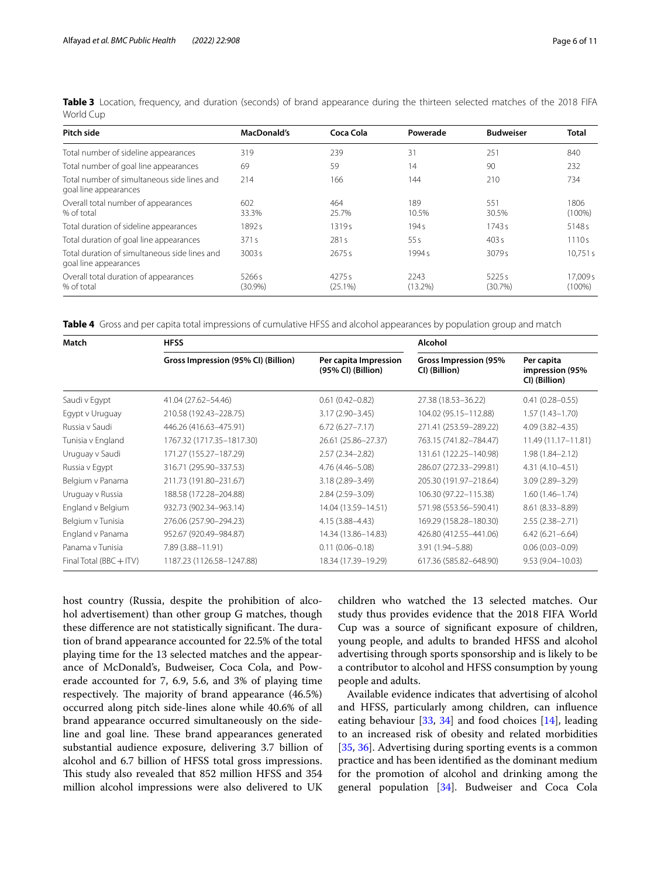| Pitch side                                                             | MacDonald's                     | Coca Cola        | Powerade           | <b>Budweiser</b> | Total                 |
|------------------------------------------------------------------------|---------------------------------|------------------|--------------------|------------------|-----------------------|
| Total number of sideline appearances                                   | 319                             | 239              | 31                 | 251              | 840                   |
| Total number of goal line appearances                                  | 69                              | 59               | 14                 | 90               | 232                   |
| Total number of simultaneous side lines and<br>goal line appearances   | 214                             | 166              | 144                | 210              | 734                   |
| Overall total number of appearances<br>% of total                      | 602<br>33.3%                    | 464<br>25.7%     | 189<br>10.5%       | 551<br>30.5%     | 1806<br>$(100\%)$     |
| Total duration of sideline appearances                                 | 1892s                           | 1319s            | 194s               | 1743s            | 51485                 |
| Total duration of goal line appearances                                | 371s                            | 281s             | 55s                | 403s             | 1110s                 |
| Total duration of simultaneous side lines and<br>goal line appearances | 3003 s                          | 2675s            | 1994 s             | 3079 s           | 10.751 s              |
| Overall total duration of appearances<br>% of total                    | 5266 <sub>S</sub><br>$(30.9\%)$ | 4275s<br>(25.1%) | 2243<br>$(13.2\%)$ | 5225s<br>(30.7%) | 17.009 s<br>$(100\%)$ |

<span id="page-5-0"></span>Table 3 Location, frequency, and duration (seconds) of brand appearance during the thirteen selected matches of the 2018 FIFA World Cup

<span id="page-5-1"></span>**Table 4** Gross and per capita total impressions of cumulative HFSS and alcohol appearances by population group and match

| Match                       | <b>HFSS</b>                         |                                             | Alcohol                                 |                                                |
|-----------------------------|-------------------------------------|---------------------------------------------|-----------------------------------------|------------------------------------------------|
|                             | Gross Impression (95% CI) (Billion) | Per capita Impression<br>(95% CI) (Billion) | Gross Impression (95%)<br>CI) (Billion) | Per capita<br>impression (95%<br>CI) (Billion) |
| Saudi v Egypt               | 41.04 (27.62-54.46)                 | $0.61(0.42 - 0.82)$                         | 27.38 (18.53-36.22)                     | $0.41(0.28 - 0.55)$                            |
| Egypt v Uruguay             | 210.58 (192.43-228.75)              | $3.17(2.90 - 3.45)$                         | 104.02 (95.15-112.88)                   | $1.57(1.43 - 1.70)$                            |
| Russia v Saudi              | 446.26 (416.63-475.91)              | $6.72(6.27 - 7.17)$                         | 271.41 (253.59-289.22)                  | $4.09(3.82 - 4.35)$                            |
| Tunisia v England           | 1767.32 (1717.35-1817.30)           | 26.61 (25.86-27.37)                         | 763.15 (741.82-784.47)                  | 11.49 (11.17-11.81)                            |
| Uruguay v Saudi             | 171.27 (155.27-187.29)              | $2.57(2.34 - 2.82)$                         | 131.61 (122.25-140.98)                  | $1.98(1.84 - 2.12)$                            |
| Russia v Egypt              | 316.71 (295.90-337.53)              | 4.76 (4.46-5.08)                            | 286.07 (272.33-299.81)                  | $4.31(4.10 - 4.51)$                            |
| Belgium v Panama            | 211.73 (191.80-231.67)              | $3.18(2.89 - 3.49)$                         | 205.30 (191.97-218.64)                  | $3.09(2.89 - 3.29)$                            |
| Uruguay v Russia            | 188.58 (172.28-204.88)              | $2.84(2.59 - 3.09)$                         | 106.30 (97.22-115.38)                   | $1.60(1.46 - 1.74)$                            |
| England v Belgium           | 932.73 (902.34-963.14)              | 14.04 (13.59-14.51)                         | 571.98 (553.56-590.41)                  | 8.61 (8.33-8.89)                               |
| Belgium v Tunisia           | 276.06 (257.90-294.23)              | $4.15(3.88 - 4.43)$                         | 169.29 (158.28-180.30)                  | $2.55(2.38 - 2.71)$                            |
| England v Panama            | 952.67 (920.49-984.87)              | 14.34 (13.86-14.83)                         | 426.80 (412.55-441.06)                  | $6.42(6.21 - 6.64)$                            |
| Panama y Tunisia            | 7.89 (3.88-11.91)                   | $0.11(0.06 - 0.18)$                         | 3.91 (1.94 - 5.88)                      | $0.06(0.03 - 0.09)$                            |
| Final Total ( $BBC + ITV$ ) | 1187.23 (1126.58-1247.88)           | 18.34 (17.39-19.29)                         | 617.36 (585.82-648.90)                  | $9.53(9.04 - 10.03)$                           |

host country (Russia, despite the prohibition of alcohol advertisement) than other group G matches, though these difference are not statistically significant. The duration of brand appearance accounted for 22.5% of the total playing time for the 13 selected matches and the appearance of McDonald's, Budweiser, Coca Cola, and Powerade accounted for 7, 6.9, 5.6, and 3% of playing time respectively. The majority of brand appearance (46.5%) occurred along pitch side-lines alone while 40.6% of all brand appearance occurred simultaneously on the sideline and goal line. These brand appearances generated substantial audience exposure, delivering 3.7 billion of alcohol and 6.7 billion of HFSS total gross impressions. This study also revealed that 852 million HFSS and 354 million alcohol impressions were also delivered to UK children who watched the 13 selected matches. Our study thus provides evidence that the 2018 FIFA World Cup was a source of signifcant exposure of children, young people, and adults to branded HFSS and alcohol advertising through sports sponsorship and is likely to be a contributor to alcohol and HFSS consumption by young people and adults.

Available evidence indicates that advertising of alcohol and HFSS, particularly among children, can infuence eating behaviour  $[33, 34]$  $[33, 34]$  $[33, 34]$  $[33, 34]$  and food choices  $[14]$  $[14]$ , leading to an increased risk of obesity and related morbidities [[35,](#page-10-13) [36](#page-10-14)]. Advertising during sporting events is a common practice and has been identifed as the dominant medium for the promotion of alcohol and drinking among the general population [[34\]](#page-10-12). Budweiser and Coca Cola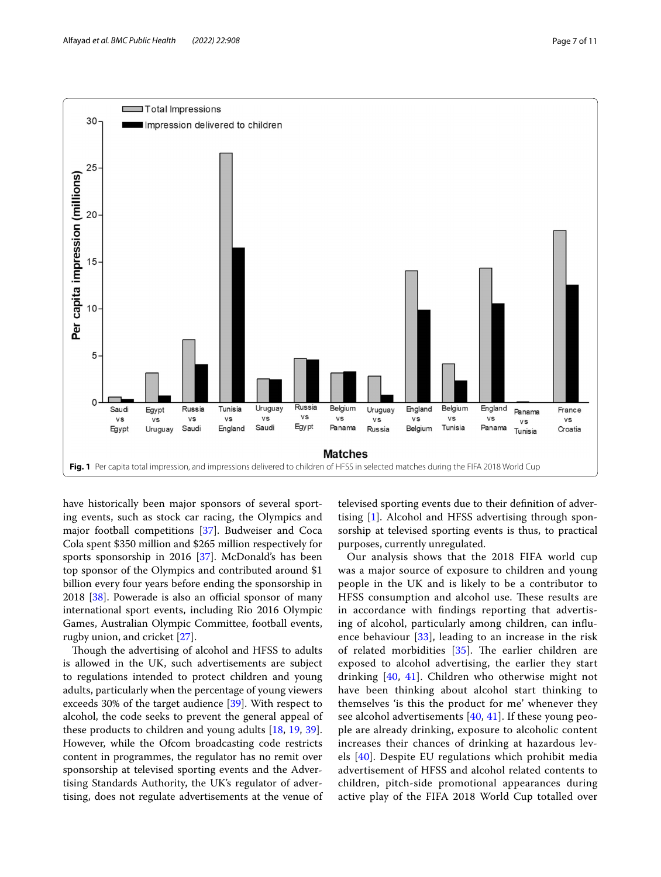



<span id="page-6-0"></span>have historically been major sponsors of several sporting events, such as stock car racing, the Olympics and major football competitions [[37\]](#page-10-15). Budweiser and Coca Cola spent \$350 million and \$265 million respectively for sports sponsorship in 2016 [[37\]](#page-10-15). McDonald's has been top sponsor of the Olympics and contributed around \$1 billion every four years before ending the sponsorship in  $2018$  [ $38$ ]. Powerade is also an official sponsor of many international sport events, including Rio 2016 Olympic Games, Australian Olympic Committee, football events, rugby union, and cricket [\[27\]](#page-10-4).

Though the advertising of alcohol and HFSS to adults is allowed in the UK, such advertisements are subject to regulations intended to protect children and young adults, particularly when the percentage of young viewers exceeds 30% of the target audience [\[39](#page-10-17)]. With respect to alcohol, the code seeks to prevent the general appeal of these products to children and young adults [\[18](#page-9-15), [19](#page-9-16), [39](#page-10-17)]. However, while the Ofcom broadcasting code restricts content in programmes, the regulator has no remit over sponsorship at televised sporting events and the Advertising Standards Authority, the UK's regulator of advertising, does not regulate advertisements at the venue of televised sporting events due to their defnition of advertising [\[1](#page-9-0)]. Alcohol and HFSS advertising through sponsorship at televised sporting events is thus, to practical purposes, currently unregulated.

Our analysis shows that the 2018 FIFA world cup was a major source of exposure to children and young people in the UK and is likely to be a contributor to HFSS consumption and alcohol use. These results are in accordance with fndings reporting that advertising of alcohol, particularly among children, can infuence behaviour [[33\]](#page-10-11), leading to an increase in the risk of related morbidities  $[35]$ . The earlier children are exposed to alcohol advertising, the earlier they start drinking [\[40,](#page-10-18) [41](#page-10-19)]. Children who otherwise might not have been thinking about alcohol start thinking to themselves 'is this the product for me' whenever they see alcohol advertisements [[40,](#page-10-18) [41\]](#page-10-19). If these young people are already drinking, exposure to alcoholic content increases their chances of drinking at hazardous levels [[40](#page-10-18)]. Despite EU regulations which prohibit media advertisement of HFSS and alcohol related contents to children, pitch-side promotional appearances during active play of the FIFA 2018 World Cup totalled over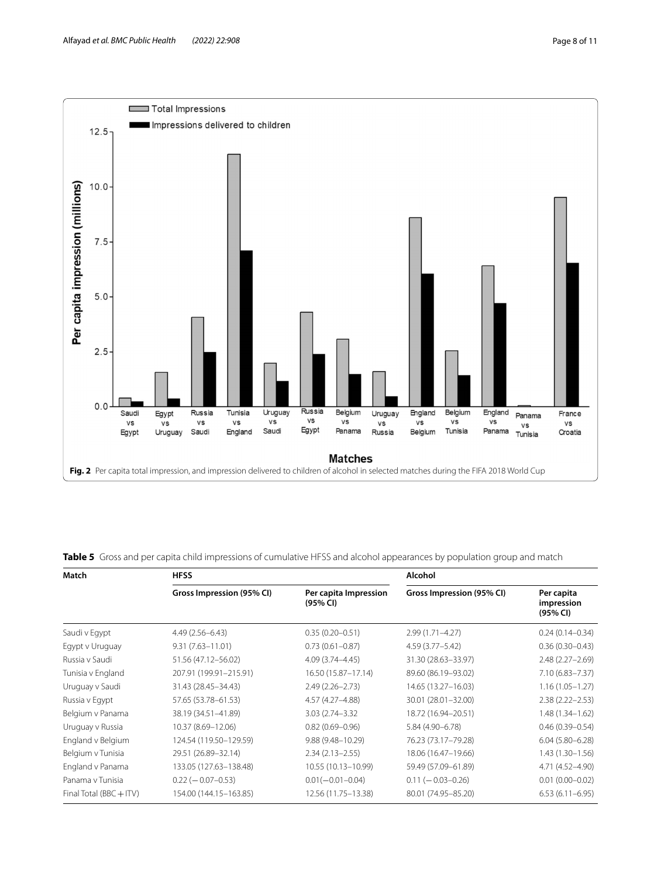

<span id="page-7-1"></span><span id="page-7-0"></span>**Table 5** Gross and per capita child impressions of cumulative HFSS and alcohol appearances by population group and match

| Match                       | <b>HFSS</b>               |                                   | Alcohol                   |                                      |
|-----------------------------|---------------------------|-----------------------------------|---------------------------|--------------------------------------|
|                             | Gross Impression (95% CI) | Per capita Impression<br>(95% CI) | Gross Impression (95% CI) | Per capita<br>impression<br>(95% CI) |
| Saudi v Egypt               | $4.49(2.56 - 6.43)$       | $0.35(0.20 - 0.51)$               | $2.99(1.71 - 4.27)$       | $0.24(0.14 - 0.34)$                  |
| Egypt v Uruguay             | $9.31(7.63 - 11.01)$      | $0.73(0.61 - 0.87)$               | $4.59(3.77 - 5.42)$       | $0.36(0.30 - 0.43)$                  |
| Russia v Saudi              | 51.56 (47.12-56.02)       | $4.09(3.74 - 4.45)$               | 31.30 (28.63-33.97)       | $2.48(2.27 - 2.69)$                  |
| Tunisia v England           | 207.91 (199.91-215.91)    | 16.50 (15.87-17.14)               | 89.60 (86.19-93.02)       | $7.10(6.83 - 7.37)$                  |
| Uruguay v Saudi             | 31.43 (28.45-34.43)       | $2.49(2.26 - 2.73)$               | 14.65 (13.27-16.03)       | $1.16(1.05 - 1.27)$                  |
| Russia v Egypt              | 57.65 (53.78-61.53)       | 4.57 (4.27-4.88)                  | 30.01 (28.01-32.00)       | $2.38(2.22 - 2.53)$                  |
| Belgium v Panama            | 38.19 (34.51-41.89)       | 3.03 (2.74 - 3.32)                | 18.72 (16.94-20.51)       | $1.48(1.34 - 1.62)$                  |
| Uruguay v Russia            | 10.37 (8.69-12.06)        | $0.82(0.69 - 0.96)$               | 5.84 (4.90-6.78)          | $0.46(0.39 - 0.54)$                  |
| England v Belgium           | 124.54 (119.50-129.59)    | $9.88(9.48 - 10.29)$              | 76.23 (73.17-79.28)       | $6.04(5.80 - 6.28)$                  |
| Belgium v Tunisia           | 29.51 (26.89-32.14)       | $2.34(2.13 - 2.55)$               | 18.06 (16.47-19.66)       | $1.43(1.30-1.56)$                    |
| England v Panama            | 133.05 (127.63-138.48)    | 10.55 (10.13-10.99)               | 59.49 (57.09-61.89)       | 4.71 (4.52-4.90)                     |
| Panama v Tunisia            | $0.22$ ( $-0.07 - 0.53$ ) | $0.01(-0.01-0.04)$                | $0.11 (-0.03 - 0.26)$     | $0.01(0.00 - 0.02)$                  |
| Final Total ( $BBC + ITV$ ) | 154.00 (144.15-163.85)    | 12.56 (11.75-13.38)               | 80.01 (74.95-85.20)       | $6.53(6.11 - 6.95)$                  |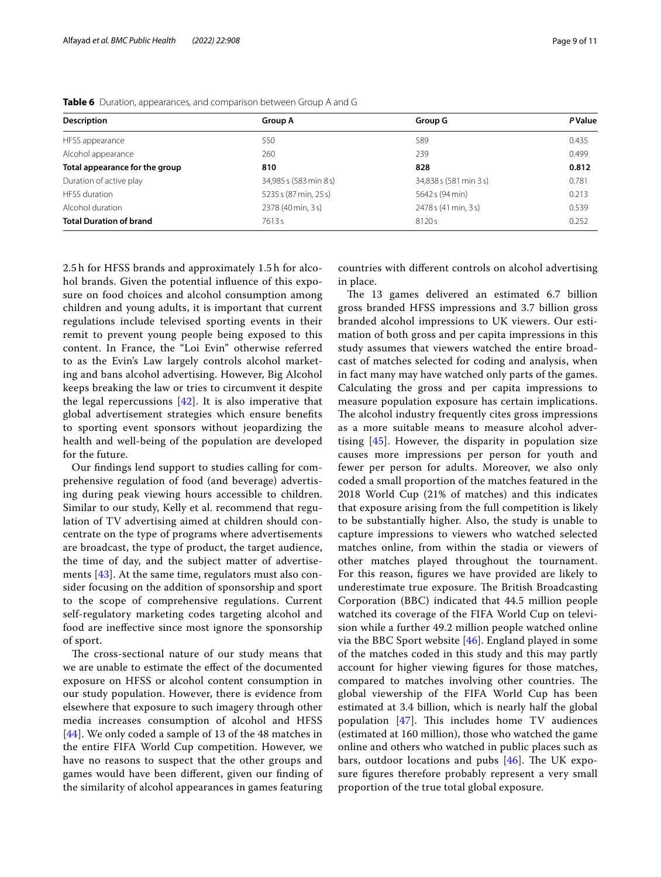| <b>Description</b>             | <b>Group A</b>         | <b>Group G</b>         | <b>P</b> Value |
|--------------------------------|------------------------|------------------------|----------------|
| HFSS appearance                | 550                    | 589                    | 0.435          |
| Alcohol appearance             | 260                    | 239                    | 0.499          |
| Total appearance for the group | 810                    | 828                    | 0.812          |
| Duration of active play        | 34,985 s (583 min 8 s) | 34,838 s (581 min 3 s) | 0.781          |
| <b>HESS</b> duration           | 5235 s (87 min, 25 s)  | 5642 s (94 min)        | 0.213          |
| Alcohol duration               | 2378 (40 min, 3 s)     | 2478 s (41 min, 3 s)   | 0.539          |
| <b>Total Duration of brand</b> | 7613s                  | 8120s                  | 0.252          |

<span id="page-8-0"></span>**Table 6** Duration, appearances, and comparison between Group A and G

2.5 h for HFSS brands and approximately 1.5 h for alcohol brands. Given the potential infuence of this exposure on food choices and alcohol consumption among children and young adults, it is important that current regulations include televised sporting events in their remit to prevent young people being exposed to this content. In France, the "Loi Evin" otherwise referred to as the Evin's Law largely controls alcohol marketing and bans alcohol advertising. However, Big Alcohol keeps breaking the law or tries to circumvent it despite the legal repercussions  $[42]$  $[42]$  $[42]$ . It is also imperative that global advertisement strategies which ensure benefts to sporting event sponsors without jeopardizing the health and well-being of the population are developed for the future.

Our fndings lend support to studies calling for comprehensive regulation of food (and beverage) advertising during peak viewing hours accessible to children. Similar to our study, Kelly et al. recommend that regulation of TV advertising aimed at children should concentrate on the type of programs where advertisements are broadcast, the type of product, the target audience, the time of day, and the subject matter of advertisements [\[43\]](#page-10-21). At the same time, regulators must also consider focusing on the addition of sponsorship and sport to the scope of comprehensive regulations. Current self-regulatory marketing codes targeting alcohol and food are inefective since most ignore the sponsorship of sport.

The cross-sectional nature of our study means that we are unable to estimate the efect of the documented exposure on HFSS or alcohol content consumption in our study population. However, there is evidence from elsewhere that exposure to such imagery through other media increases consumption of alcohol and HFSS [[44](#page-10-22)]. We only coded a sample of 13 of the 48 matches in the entire FIFA World Cup competition. However, we have no reasons to suspect that the other groups and games would have been diferent, given our fnding of the similarity of alcohol appearances in games featuring

countries with diferent controls on alcohol advertising in place.

The 13 games delivered an estimated 6.7 billion gross branded HFSS impressions and 3.7 billion gross branded alcohol impressions to UK viewers. Our estimation of both gross and per capita impressions in this study assumes that viewers watched the entire broadcast of matches selected for coding and analysis, when in fact many may have watched only parts of the games. Calculating the gross and per capita impressions to measure population exposure has certain implications. The alcohol industry frequently cites gross impressions as a more suitable means to measure alcohol advertising [[45\]](#page-10-23). However, the disparity in population size causes more impressions per person for youth and fewer per person for adults. Moreover, we also only coded a small proportion of the matches featured in the 2018 World Cup (21% of matches) and this indicates that exposure arising from the full competition is likely to be substantially higher. Also, the study is unable to capture impressions to viewers who watched selected matches online, from within the stadia or viewers of other matches played throughout the tournament. For this reason, fgures we have provided are likely to underestimate true exposure. The British Broadcasting Corporation (BBC) indicated that 44.5 million people watched its coverage of the FIFA World Cup on television while a further 49.2 million people watched online via the BBC Sport website [\[46](#page-10-24)]. England played in some of the matches coded in this study and this may partly account for higher viewing fgures for those matches, compared to matches involving other countries. The global viewership of the FIFA World Cup has been estimated at 3.4 billion, which is nearly half the global population  $[47]$  $[47]$ . This includes home TV audiences (estimated at 160 million), those who watched the game online and others who watched in public places such as bars, outdoor locations and pubs  $[46]$  $[46]$  $[46]$ . The UK exposure fgures therefore probably represent a very small proportion of the true total global exposure.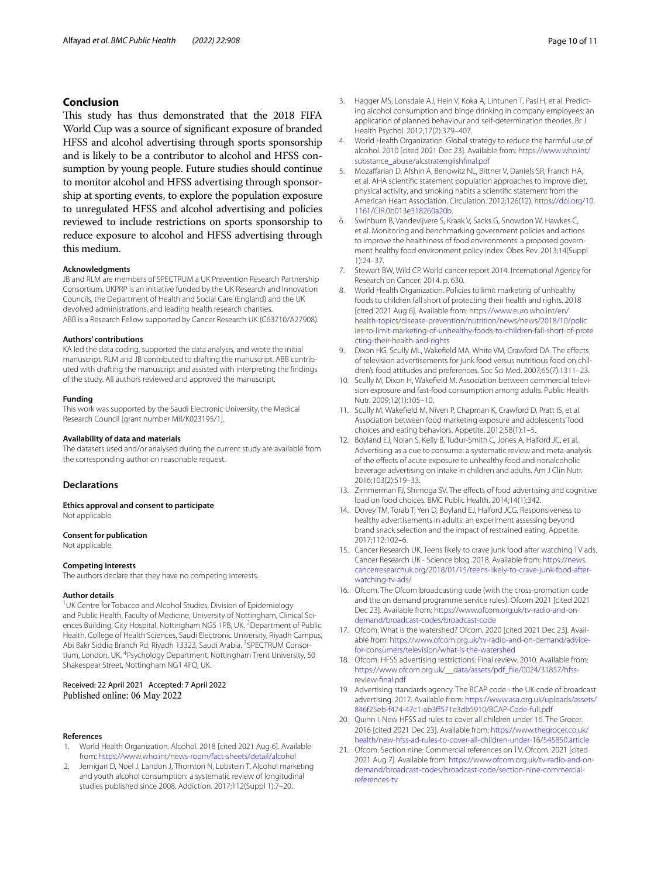# **Conclusion**

This study has thus demonstrated that the 2018 FIFA World Cup was a source of signifcant exposure of branded HFSS and alcohol advertising through sports sponsorship and is likely to be a contributor to alcohol and HFSS consumption by young people. Future studies should continue to monitor alcohol and HFSS advertising through sponsorship at sporting events, to explore the population exposure to unregulated HFSS and alcohol advertising and policies reviewed to include restrictions on sports sponsorship to reduce exposure to alcohol and HFSS advertising through this medium.

#### **Acknowledgments**

JB and RLM are members of SPECTRUM a UK Prevention Research Partnership Consortium. UKPRP is an initiative funded by the UK Research and Innovation Councils, the Department of Health and Social Care (England) and the UK devolved administrations, and leading health research charities. ABB is a Research Fellow supported by Cancer Research UK (C63710/A27908).

#### **Authors' contributions**

KA led the data coding, supported the data analysis, and wrote the initial manuscript. RLM and JB contributed to drafting the manuscript. ABB contributed with drafting the manuscript and assisted with interpreting the fndings of the study. All authors reviewed and approved the manuscript.

#### **Funding**

This work was supported by the Saudi Electronic University, the Medical Research Council [grant number MR/K023195/1].

#### **Availability of data and materials**

The datasets used and/or analysed during the current study are available from the corresponding author on reasonable request.

#### **Declarations**

**Ethics approval and consent to participate** Not applicable.

#### **Consent for publication**

Not applicable.

#### **Competing interests**

The authors declare that they have no competing interests.

#### **Author details**

<sup>1</sup>UK Centre for Tobacco and Alcohol Studies, Division of Epidemiology and Public Health, Faculty of Medicine, University of Nottingham, Clinical Sciences Building, City Hospital, Nottingham NG5 1PB, UK.<sup>2</sup> Department of Public Health, College of Health Sciences, Saudi Electronic University, Riyadh Campus, Abi Bakr Siddiq Branch Rd, Riyadh 13323, Saudi Arabia. <sup>3</sup>SPECTRUM Consortium, London, UK. <sup>4</sup>Psychology Department, Nottingham Trent University, 50 Shakespear Street, Nottingham NG1 4FQ, UK.

#### Received: 22 April 2021 Accepted: 7 April 2022 Published online: 06 May 2022

#### **References**

- <span id="page-9-0"></span>1. World Health Organization. Alcohol. 2018 [cited 2021 Aug 6]. Available from: <https://www.who.int/news-room/fact-sheets/detail/alcohol>
- <span id="page-9-1"></span>2. Jernigan D, Noel J, Landon J, Thornton N, Lobstein T. Alcohol marketing and youth alcohol consumption: a systematic review of longitudinal studies published since 2008. Addiction. 2017;112(Suppl 1):7–20.
- <span id="page-9-2"></span>3. Hagger MS, Lonsdale AJ, Hein V, Koka A, Lintunen T, Pasi H, et al. Predicting alcohol consumption and binge drinking in company employees: an application of planned behaviour and self-determination theories. Br J Health Psychol. 2012;17(2):379–407.
- <span id="page-9-3"></span>4. World Health Organization. Global strategy to reduce the harmful use of alcohol. 2010 [cited 2021 Dec 23]. Available from: [https://www.who.int/](https://www.who.int/substance_abuse/alcstratenglishfinal.pdf) [substance\\_abuse/alcstratenglishfnal.pdf](https://www.who.int/substance_abuse/alcstratenglishfinal.pdf)
- <span id="page-9-4"></span>5. Mozafarian D, Afshin A, Benowitz NL, Bittner V, Daniels SR, Franch HA, et al. AHA scientifc statement population approaches to improve diet, physical activity, and smoking habits a scientifc statement from the American Heart Association. Circulation. 2012;126(12). [https://doi.org/10.](https://doi.org/10.1161/CIR.0b013e318260a20b) [1161/CIR.0b013e318260a20b](https://doi.org/10.1161/CIR.0b013e318260a20b).
- <span id="page-9-5"></span>6. Swinburn B, Vandevijvere S, Kraak V, Sacks G, Snowdon W, Hawkes C, et al. Monitoring and benchmarking government policies and actions to improve the healthiness of food environments: a proposed government healthy food environment policy index. Obes Rev. 2013;14(Suppl 1):24–37.
- <span id="page-9-6"></span>7. Stewart BW, Wild CP. World cancer report 2014. International Agency for Research on Cancer; 2014. p. 630.
- <span id="page-9-7"></span>8. World Health Organization. Policies to limit marketing of unhealthy foods to children fall short of protecting their health and rights. 2018 [cited 2021 Aug 6]. Available from: [https://www.euro.who.int/en/](https://www.euro.who.int/en/health-topics/disease-prevention/nutrition/news/news/2018/10/policies-to-limit-marketing-of-unhealthy-foods-to-children-fall-short-of-protecting-their-health-and-rights) [health-topics/disease-prevention/nutrition/news/news/2018/10/polic](https://www.euro.who.int/en/health-topics/disease-prevention/nutrition/news/news/2018/10/policies-to-limit-marketing-of-unhealthy-foods-to-children-fall-short-of-protecting-their-health-and-rights) [ies-to-limit-marketing-of-unhealthy-foods-to-children-fall-short-of-prote](https://www.euro.who.int/en/health-topics/disease-prevention/nutrition/news/news/2018/10/policies-to-limit-marketing-of-unhealthy-foods-to-children-fall-short-of-protecting-their-health-and-rights) [cting-their-health-and-rights](https://www.euro.who.int/en/health-topics/disease-prevention/nutrition/news/news/2018/10/policies-to-limit-marketing-of-unhealthy-foods-to-children-fall-short-of-protecting-their-health-and-rights)
- <span id="page-9-8"></span>Dixon HG, Scully ML, Wakefield MA, White VM, Crawford DA. The effects of television advertisements for junk food versus nutritious food on children's food attitudes and preferences. Soc Sci Med. 2007;65(7):1311–23.
- <span id="page-9-10"></span>10. Scully M, Dixon H, Wakefield M. Association between commercial television exposure and fast-food consumption among adults. Public Health Nutr. 2009;12(1):105–10.
- 11. Scully M, Wakefeld M, Niven P, Chapman K, Crawford D, Pratt IS, et al. Association between food marketing exposure and adolescents' food choices and eating behaviors. Appetite. 2012;58(1):1–5.
- 12. Boyland EJ, Nolan S, Kelly B, Tudur-Smith C, Jones A, Halford JC, et al. Advertising as a cue to consume: a systematic review and meta-analysis of the efects of acute exposure to unhealthy food and nonalcoholic beverage advertising on intake in children and adults. Am J Clin Nutr. 2016;103(2):519–33.
- <span id="page-9-11"></span>13. Zimmerman FJ, Shimoga SV. The effects of food advertising and cognitive load on food choices. BMC Public Health. 2014;14(1):342.
- <span id="page-9-12"></span>14. Dovey TM, Torab T, Yen D, Boyland EJ, Halford JCG. Responsiveness to healthy advertisements in adults: an experiment assessing beyond brand snack selection and the impact of restrained eating. Appetite. 2017;112:102–6.
- <span id="page-9-9"></span>15. Cancer Research UK. Teens likely to crave junk food after watching TV ads. Cancer Research UK - Science blog. 2018. Available from: [https://news.](https://news.cancerresearchuk.org/2018/01/15/teens-likely-to-crave-junk-food-after-watching-tv-ads/) [cancerresearchuk.org/2018/01/15/teens-likely-to-crave-junk-food-after](https://news.cancerresearchuk.org/2018/01/15/teens-likely-to-crave-junk-food-after-watching-tv-ads/)[watching-tv-ads/](https://news.cancerresearchuk.org/2018/01/15/teens-likely-to-crave-junk-food-after-watching-tv-ads/)
- <span id="page-9-13"></span>16. Ofcom. The Ofcom broadcasting code (with the cross-promotion code and the on demand programme service rules). Ofcom 2021 [cited 2021 Dec 23]. Available from: [https://www.ofcom.org.uk/tv-radio-and-on](https://www.ofcom.org.uk/tv-radio-and-on-demand/broadcast-codes/broadcast-code)[demand/broadcast-codes/broadcast-code](https://www.ofcom.org.uk/tv-radio-and-on-demand/broadcast-codes/broadcast-code)
- <span id="page-9-14"></span>17. Ofcom. What is the watershed? Ofcom. 2020 [cited 2021 Dec 23]. Available from: [https://www.ofcom.org.uk/tv-radio-and-on-demand/advice](https://www.ofcom.org.uk/tv-radio-and-on-demand/advice-for-consumers/television/what-is-the-watershed)[for-consumers/television/what-is-the-watershed](https://www.ofcom.org.uk/tv-radio-and-on-demand/advice-for-consumers/television/what-is-the-watershed)
- <span id="page-9-15"></span>18. Ofcom. HFSS advertising restrictions: Final review. 2010. Available from: [https://www.ofcom.org.uk/\\_\\_data/assets/pdf\\_fle/0024/31857/hfss](https://www.ofcom.org.uk/__data/assets/pdf_file/0024/31857/hfss-review-final.pdf)[review-fnal.pdf](https://www.ofcom.org.uk/__data/assets/pdf_file/0024/31857/hfss-review-final.pdf)
- <span id="page-9-16"></span>19. Advertising standards agency. The BCAP code - the UK code of broadcast advertising. 2017. Available from: [https://www.asa.org.uk/uploads/assets/](https://www.asa.org.uk/uploads/assets/846f25eb-f474-47c1-ab3ff571e3db5910/BCAP-Code-full.pdf) [846f25eb-f474-47c1-ab3f571e3db5910/BCAP-Code-full.pdf](https://www.asa.org.uk/uploads/assets/846f25eb-f474-47c1-ab3ff571e3db5910/BCAP-Code-full.pdf)
- <span id="page-9-17"></span>20. Quinn I. New HFSS ad rules to cover all children under 16. The Grocer. 2016 [cited 2021 Dec 23]. Available from: [https://www.thegrocer.co.uk/](https://www.thegrocer.co.uk/health/new-hfss-ad-rules-to-cover-all-children-under-16/545850.article) [health/new-hfss-ad-rules-to-cover-all-children-under-16/545850.article](https://www.thegrocer.co.uk/health/new-hfss-ad-rules-to-cover-all-children-under-16/545850.article)
- <span id="page-9-18"></span>21. Ofcom. Section nine: Commercial references on TV. Ofcom. 2021 [cited 2021 Aug 7]. Available from: [https://www.ofcom.org.uk/tv-radio-and-on](https://www.ofcom.org.uk/tv-radio-and-on-demand/broadcast-codes/broadcast-code/section-nine-commercial-references-tv)[demand/broadcast-codes/broadcast-code/section-nine-commercial](https://www.ofcom.org.uk/tv-radio-and-on-demand/broadcast-codes/broadcast-code/section-nine-commercial-references-tv)[references-tv](https://www.ofcom.org.uk/tv-radio-and-on-demand/broadcast-codes/broadcast-code/section-nine-commercial-references-tv)